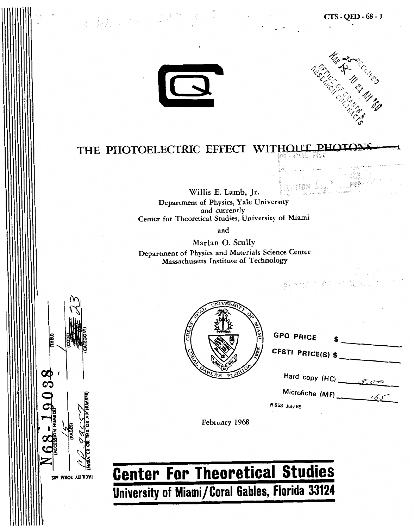

经通用 医不同

FACILITY FORM 602



## THE PHOTOELECTRIC EFFECT WITHOUT **P**

**Willis E. Lamb, Jr. Department of Physics, Yale University and currently Center for Theoretical Studies, University of Miami** 

**and** 

**Marlan 0. Scully Department of Physics and Materials Science Center Massachusetts Institute of Technology** 

| <b>SEP</b>    | UNIVERSITY ON       |          |
|---------------|---------------------|----------|
| GRE           |                     | S<br>850 |
| <b>CABLES</b> | <b>ELORIDA</b><br>ь |          |

| the company's company's company's<br>$\label{eq:12} \rho_{\rm in}=p/\sqrt{2} \qquad \qquad \rho_{\rm in}=0.005$<br>الأنفه بالراز | <b>RANGER</b> |  |
|----------------------------------------------------------------------------------------------------------------------------------|---------------|--|
| to account with the<br>iversity                                                                                                  |               |  |
| rsity of Miami                                                                                                                   |               |  |
|                                                                                                                                  |               |  |
| <b>Science Center</b><br>nology                                                                                                  |               |  |
| 计加速度 白色的复数 化合作                                                                                                                   |               |  |
|                                                                                                                                  |               |  |
| <b>GPO PRICE</b>                                                                                                                 |               |  |
| S.<br>CFSTI PRICE(S) \$                                                                                                          |               |  |
| Hard copy (HC) $\frac{f}{f}$                                                                                                     |               |  |
|                                                                                                                                  |               |  |
| ff 653 July 65                                                                                                                   |               |  |

**February 1968** 

# **Center For Theoretical Studies University of Miami/Coral Gables, Florida 33124**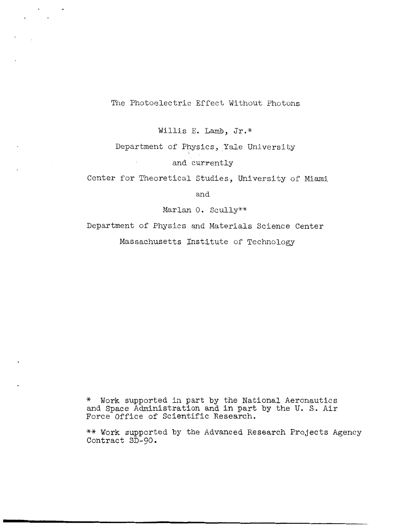### The Photoelectric Effect Without Photons

 $\sim 10^{11}$  $\sim$ 

Willis E. Lamb, Jr.\*

### Department of Physics, Yale University and currently

Center for Theoretical Studies, University of Miami

and

Marlan 0. Scully\*\*

Department of Physics and Materials Science Center Massachusetts Institute of Technology

\* Work supported in part by the National Aeronautics and Space Administration and in part by the U. S. Air Force Office of Scientific Research.

\*\* Work supported **by** the Advanced Research Projects Agency Contract SD-90.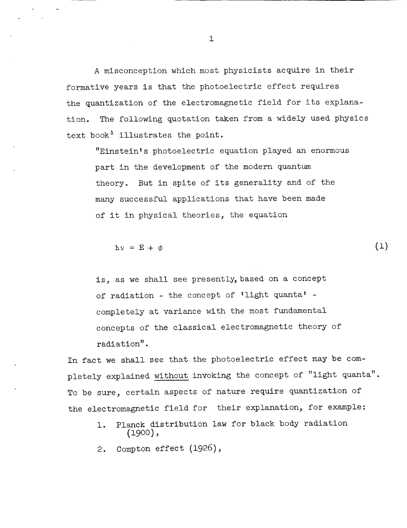A misconception which most physicists acquire in their formative years is that the photoelectric effect requires the quantization of the electromagnetic field for its explanation. text book' illustrates the point. The following quotation taken from a widely used physics

"Einstein's photoelectric equation played an enormous part in the development of the modern quantum theory. But in spite of its generality and of the many successful applications that have been made of it in physical theories, the equation

 $(1)$ 

 $hv = E + \phi$ 

*c* 

is, as we shall see presently,based on a concept of radiation - the concept of 'light quanta! completely at variance with the most fundamental concepts of the classical electromagnetic theory of radiation" .

In fact we shall see that the photoelectric effect may be completely explained without invoking the concept of "light quanta". To be sure, certain aspects of nature require quantization of the electromagnetic field for their explanation, for example:

- 1. Planck distribution law for black body radiation *(1900) 9*
- 2. Compton effect (1926),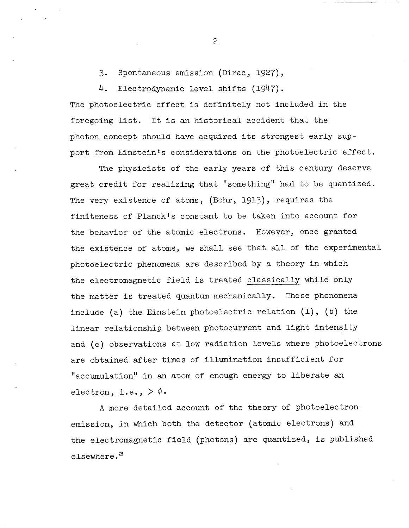3. Spontaneous emission (Dirac, 1927),

4. Electrodynamic level shifts (1947). The photoelectric effect is definitely not included in the foregoing list. It is an historical accident that the photon concept should have acquired its strongest early sup-

port from Einstein's considerations on the photoelectric effect.

The physicists of the early years of this century deserve great credit for realizing that "something" had to be quantized. The very existence of atoms, (Bohr, 1913), requires the finiteness of Planck's constant to be taken into account for the behavior of the atomic electrons. However, once granted the existence of atoms, we shall see that all of the experimental photoelectric phenomena are described by a theory in which the electromagnetic field is treated classically while only the matter is treated quantum mechanically. These phenomena include (a) the Einstein photoelectric relation **(l),** (b) the linear relationship between photocurrent and light intensity and (c) observations at low radiation levels where photoelectrons are obtained after times of illumination insufficient for "accumulation" in an atom of enough energy to liberate an electron, i.e.,  $> \phi$ .

A more detailed account of the theory of photoelectron emission, in which both the detector (atomic electrons) and the electromagnetic field (photons) are quantized, is published elsewhere. *<sup>2</sup>*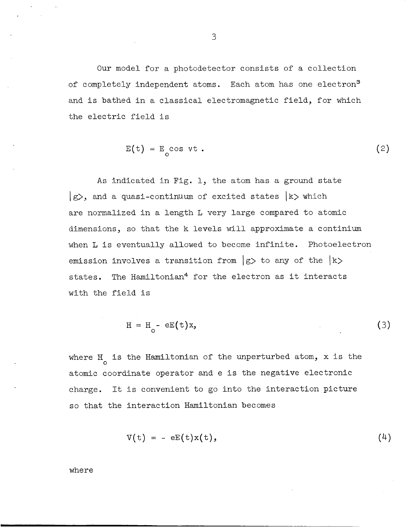Our model for a photodetector consists of a collection of completely independent atoms. Each atom has one electron<sup>3</sup> and is bathed in a classical electromagnetic field, for which the electric field is

$$
E(t) = E_0 \cos \nu t \t{.} \t\t(2)
$$

As indicated in Fig. 1, the atom has a ground state  $|g\rangle$ , and a quasi-continuum of excited states  $|k\rangle$  which are normalized in a length L very large compared to atomic dimensions, so that the k levels will approximate a continium when L is eventually allowed to become infinite. Photoelectron emission involves a transition from  $|g\rangle$  to any of the  $|k\rangle$ states. The Hamiltonian<sup>4</sup> for the electron as it interacts with the field is

$$
H = Ho - eE(t)x,
$$
 (3)

where H<sub>o</sub> is the Hamiltonian of the unperturbed atom, x is the atomic coordinate operator and e is the negative electronic charge. It is convenient to go into the interaction picture so that the interaction Hamiltonian becomes

$$
V(t) = - eE(t)x(t), \qquad (4)
$$

where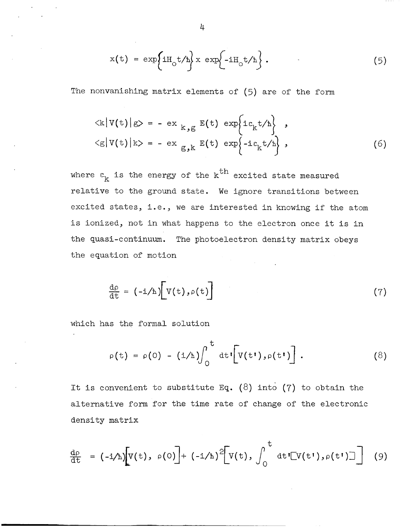$$
x(t) = \exp\left\{iH_0 t/h\right\} x \exp\left\{-iH_0 t/h\right\}.
$$
 (5)

The nonvanishing matrix elements of (5) are of the form

$$
\langle k | V(t) | g \rangle = - e x_{k, g} E(t) \exp\{ie_{k}t/h\},
$$
  

$$
\langle g | V(t) | k \rangle = - e x_{g, k} E(t) \exp\{-ie_{k}t/h\},
$$
 (6)

where  $\varepsilon^{\phantom{\prime}}_{{\bf k}}$  is the energy of the  ${\bf k}^{\rm \, \textrm{or}}$  excited state measured relative to the ground state. We ignore transitions between excited states, i.e., we are interested in knowing if the atom is ionized, not in what happens to the electron once it is in the quasi-continuum. The photoelectron density matrix obeys the equation of motion

$$
\frac{d\rho}{dt} = (-i/\hbar)\bigg[V(t), \rho(t)\bigg]
$$
 (7)

which has the formal solution

$$
\rho(t) = \rho(0) - (i/\hbar) \int_0^t dt \left[ V(t^{\dagger}), \rho(t^{\dagger}) \right]. \qquad (8)
$$

It is convenient to substitute Eq.  $(8)$  into  $(7)$  to obtain the alternative form for the time rate of change of the electronic density matrix

$$
\frac{dp}{dt} = (-i/\hbar) \Big[ V(t), \rho(0) \Big] + (-i/\hbar)^2 \Big[ V(t), \int_0^t dt' [V(t'), \rho(t')] \Big] \quad (9)
$$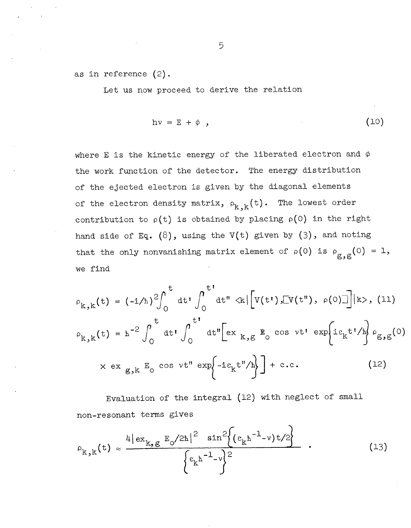as in reference (2).

Let us now proceed to derive the relation

$$
h\nu = E + \phi \t{10}
$$

where E is the kinetic energy of the liberated electron and  $\phi$ the work function of the detector. The energy distribution of the ejected electron is given by the diagonal elements of the electron density matrix,  $\rho_{k\rightarrow k}(t)$ . The lowest order contribution to  $\rho(t)$  is obtained by placing  $\rho(0)$  in the right hand side of Eq. *(8),* using the V(t) given by *(3),* and noting that the only nonvanishing matrix element of  $\rho(0)$  is  $\rho_{g,g}(0) = 1$ , we find

$$
\rho_{k,k}(t) = (-i/h)^2 \int_0^t dt' \int_0^{t'} dt'' \ll \left[ V(t'), \lbrack V(t'), \rho(0) \rbrack \right] |k>, (11)
$$
  

$$
\rho_{k,k}(t) = \hbar^{-2} \int_0^t dt' \int_0^{t'} dt'' \left[ ex_{k,g} g \cos vt' \exp\left\{ie_k t'/\hbar\right\} \rho_{g,g}(0) \right]
$$
  

$$
\times ex_{g,k} E_0 \cos vt'' \exp\left\{-ie_k t''/\hbar\right\} + c.c.
$$
 (12)

Evaluation of the integral (12) with neglect of small non-resonant terms gives

$$
\rho_{k,k}(t) \approx \frac{4|\exp_{k,g} E_0/2\hbar|^2 \sin^2\{( \exp_{k} \hbar^{-1} - \nu) t/2 \}}{\{ \exp_{k} \hbar^{-1} - \nu \}}.
$$
 (13)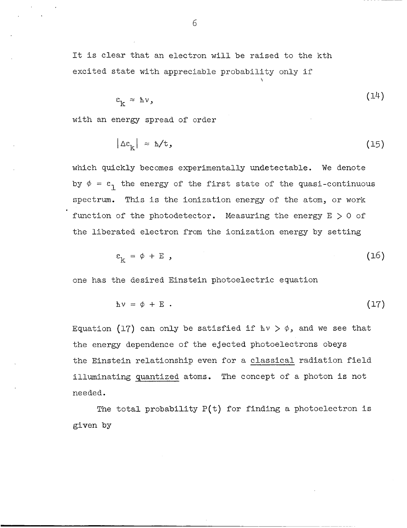It is clear that an electron will be raised to the kth excited state with appreciable probability only if

$$
\varepsilon_{\mathbf{k}} \approx \mathbf{h}\nu, \tag{14}
$$

\

with an energy spread of order

$$
|\Delta \varepsilon_{k}| \approx \hbar / t, \qquad (15)
$$

which quickly becomes experimentally undetectable. We denote by  $\phi = \varepsilon_1$  the energy of the first state of the quasi-continuous spectrum. This is the ionization energy of the atom, or work function of the photodetector. Measuring the energy  $E > 0$  of the liberated electron from the ionization energy by setting

$$
\varepsilon_{\mathbf{k}} = \phi + \mathbf{E} \quad , \tag{16}
$$

one has the desired Einstein photoelectric equation

$$
h\nu = \phi + E \t\t(17)
$$

Equation (17) can only be satisfied if  $h\nu > \phi$ , and we see that the energy dependence of the ejected photoelectrons obeys the Einstein relationship even for a classical radiation field illuminating quantized atoms. The concept of a photon is not needed.

The total probability  $P(t)$  for finding a photoelectron is given by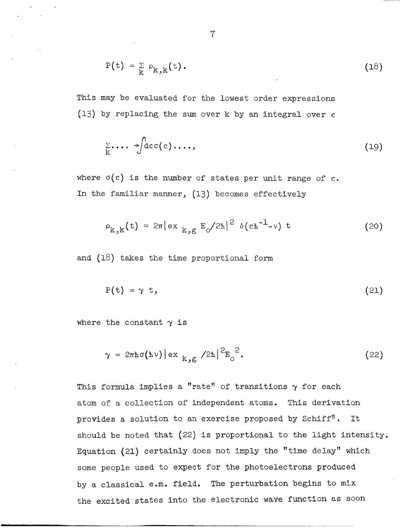$$
P(t) = \sum_{k} \rho_{k,k}(t).
$$
 (18)

This may be evaluated for the lowest order expressions (13) by replacing the sum over k by an integral over *e* 

$$
\sum_{k} \cdots \rightarrow \int \text{dec}(\varepsilon) \cdots,
$$
 (19)

where  $\sigma(\epsilon)$  is the number of states per unit range of  $\epsilon$ . In the familiar manner, (13) becomes effectively

$$
\rho_{k,k}(t) \approx 2\pi |\exp_{k,g} E_0/2\hbar|^2 \delta(\epsilon \hbar^{-1} - \nu) t \qquad (20)
$$

and (18) takes the time proportional form

$$
P(t) = \gamma t, \qquad (21)
$$

where the constant  $\gamma$  is

$$
\gamma = 2\pi \hbar \sigma(\hbar \nu) \left| \exp\left( \frac{2\pi}{\kappa} \right)^2 \right|^{2} = \frac{2}{\pi} \epsilon \qquad (22)
$$

This formula implies a "rate" of transitions y **for** each atom of a collection of independent atoms. This derivation provides a solution to an exercise proposed by Schiff<sup>5</sup>. It should be noted that (22) is proportional to the light intensity. Equation (21) certainly does not imply the "time delay" which some people used to expect for the photoelectrons produced by a classical e.m. field. The perturbation begins to mix the excited states into the electronic wave function as soon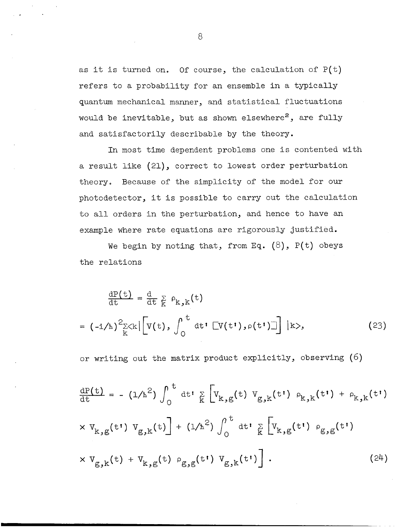as it is turned on. Of course, the calculation of P(t) refers to a probability for an ensemble in a typically quantum mechanical manner, and statistical fluctuations would be inevitable, but as shown elsewhere<sup>2</sup>, are fully and satisfactorily describable by the theory.

In most time dependent problems one is contented with a result like (21), correct to lowest order perturbation theory. Because of the simplicity of the model for our photodetector, it is possible to carry out the calculation to all orders in the perturbation, and hence to have an example where rate equations are rigorously justified.

We begin by noting that, from Eq. *(8),* P(t) obeys the relations

$$
\frac{dP(t)}{dt} = \frac{d}{dt} \sum_{k} \rho_{k,k}(t)
$$
\n
$$
= (-i/\hbar)^{2} \sum_{k} \langle k | \left[ V(t), \int_{0}^{t} dt' \left[ V(t'), \rho(t') \right] \right] | k \rangle, \qquad (23)
$$

or writing out the matrix product explicitly, observing (6)

$$
\frac{dP(t)}{dt} = -(1/h^2) \int_0^t dt' \sum_{k} \left[ V_{k,g}(t) V_{g,k}(t') \rho_{k,k}(t') + \rho_{k,k}(t') \right]
$$
  
\n
$$
\times V_{k,g}(t') V_{g,k}(t) + (1/h^2) \int_0^t dt' \sum_{k} \left[ V_{k,g}(t') \rho_{g,g}(t') \right]
$$
  
\n
$$
\times V_{g,k}(t) + V_{k,g}(t) \rho_{g,g}(t') V_{g,k}(t') \left[ . \right]
$$
 (24)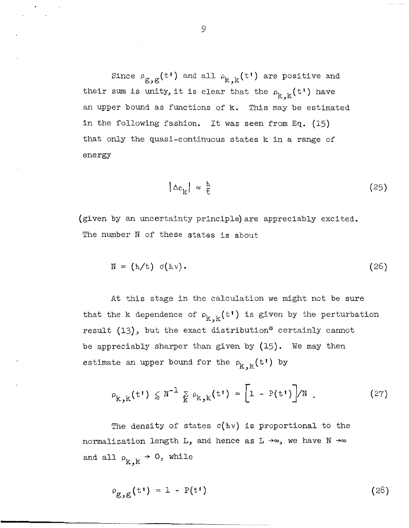Since  $\rho_{\bf g,g}(t^\dagger)$  and all  $\rho_{\bf k,k}(t^\dagger)$  are positive and their sum is unity, it is clear that the  $\rho^{\,}_{k,k}(t^{\,} )$  have an upper bound as functions of k. This may be estimated in the following fashion. It was seen from **Eq.** (15) that only the quasi-continuous states k in a range of energy

$$
|\Delta \varepsilon_{\mathbf{k}}| \approx \frac{\hbar}{t} \tag{25}
$$

(given by an uncertainty principle) are appreciably excited. The number N of these *states* **is** about

$$
N = (h/t) \sigma(h\nu). \qquad (26)
$$

At this stage in the calculation we might not be sure that the k dependence of  $\rho^k_{k,k}(t^{\dagger})$  is given by the perturbation result  $(13)$ , but the exact distribution<sup>6</sup> certainly cannot be appreciably sharper than given by (15). We may then estimate an upper bound for the  $\rho_{k,k}(t!)$  by

$$
\rho_{k,k}(t^{\dagger}) \leq N^{-1} \sum_{k} \rho_{k,k}(t^{\dagger}) = \left[1 - P(t^{\dagger})\right] / N \qquad (27)
$$

The density of states  $\sigma(h\nu)$  is proportional to the normalization length L, and hence as L **+m,** we have N **+w** and all  $\rho_{k,k} \rightarrow 0$ , while

$$
\rho_{\mathbf{g},\mathbf{g}}(t^{\dagger}) = 1 - P(t^{\dagger}) \tag{28}
$$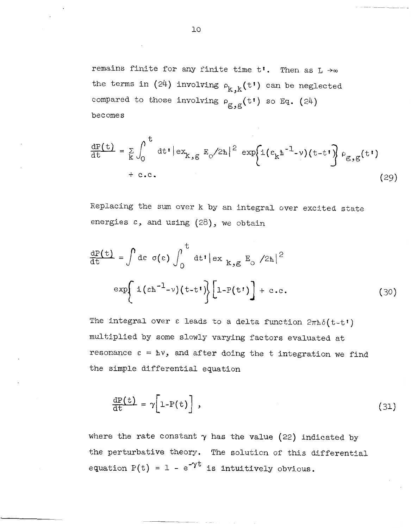remains finite for any finite time  $t'$ . Then as  $L \rightarrow \infty$ the terms in (24) involving  $\rho_{k,k}(t^{\dagger})$  can be neglected compared to those involving  $\rho_{\alpha-\alpha}(t^{\dagger})$  so Eq. (24) becomes g,g

$$
\frac{dP(t)}{dt} = \sum_{k} \int_{0}^{t} dt' |ex_{k,g} E_{0}/2\hbar|^{2} exp\{i(\epsilon_{k}\hbar^{-1} - \nu)(t - t')\} \rho_{g,g}(t')
$$
\n
$$
+ c.c.
$$
\n(29)

Replacing the sum over k by an integral over excited state energies **c,** and using (28), we obtain

$$
\frac{dP(t)}{dt} = \int d\varepsilon \sigma(\varepsilon) \int_0^t dt' |\exp(k, g E_0 / 2\hbar)|^2
$$
  

$$
\exp\left\{ i (\varepsilon \hbar^{-1} - \nu)(t - t') \right\} \left[ 1 - P(t') \right] + c.c.
$$
 (30)

The integral over  $\varepsilon$  leads to a delta function  $2\pi\hbar\delta(t-t)$ multiplied by some slowly varying factors evaluated at resonance  $\varepsilon = h\nu$ , and after doing the t integration we find the simple differential equation

$$
\frac{dP(t)}{dt} = \gamma \left[1 - P(t)\right],
$$
\n(31)

where the rate constant  $\gamma$  has the value (22) indicated by the perturbative theory. The solution of this differential equation  $P(t) = 1 - e^{-\gamma t}$  is intuitively obvious.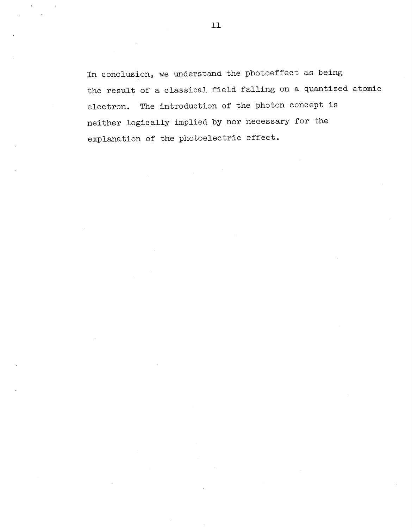In conclusion, we understand the photoeffect as being the result of a classical field falling on a quantized atomic electron. The introduction of the photon concept is neither logically implied by nor necessary for the explanation of the photoelectric effect.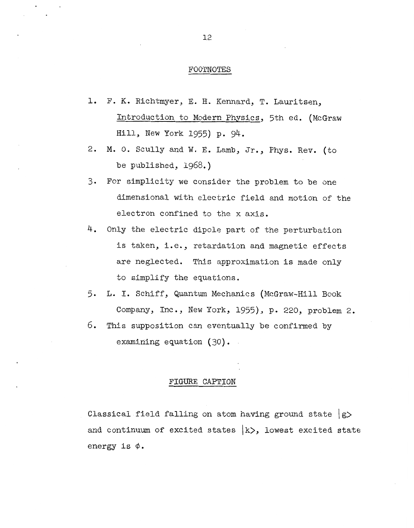### FOOTNOTES

- **1.**  F. K. Richtmyer, E. H. Kennard, T. Lauritsen, Introduction to Modern Physics, 5th ed. (McGraw Hill, New York 1955) p. 94.
- 2. **M.** 0. Scully and W. E. Lamb, **Jr.,** Phys. Rev. (to be published, 1968.)
- *3.*  For simplicity we consider the problem to be one dimensional with electric field and motion of the electron confined to the x axis.
- 4. Only the electric dipole part of the perturbation is taken, i.e., retardation and magnetic effects are neglected. This approximation is made only to simplify the equations.
- 5. **L.** I. Schiff, Quantum Mechanics (McGraw-Hill Book Company, Inc., New York, 1955), p. 220, problem 2.
- 6. This supposition can eventually be confirmed by examining equation (30).

#### FIGURE CAPTION

Classical field falling on atom having ground state  $\vert$ g> and continuum of excited states  $\ket{k}$ , lowest excited state energy is  $\phi$ .